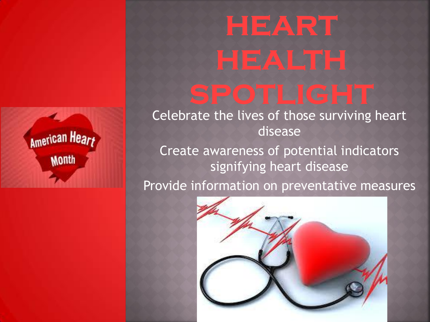#### American Heart **Month**

# HEART

Celebrate the lives of those surviving heart disease

Create awareness of potential indicators signifying heart disease

Provide information on preventative measures

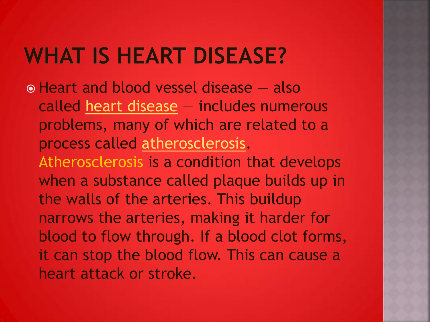#### **WHAT IS HEART DISEASE?**

o Heart and blood vessel disease – also called [heart disease](http://www.heart.org/HEARTORG/Conditions/More/MyHeartandStrokeNews/Coronary-Artery-Disease---Coronary-Heart-Disease_UCM_436416_Article.jsp) — includes numerous problems, many of which are related to a process called [atherosclerosis](http://www.heart.org/HEARTORG/Conditions/Cholesterol/WhyCholesterolMatters/Atherosclerosis_UCM_305564_Article.jsp). Atherosclerosis is a condition that develops when a substance called plaque builds up in the walls of the arteries. This buildup narrows the arteries, making it harder for blood to flow through. If a blood clot forms, it can stop the blood flow. This can cause a heart attack or stroke.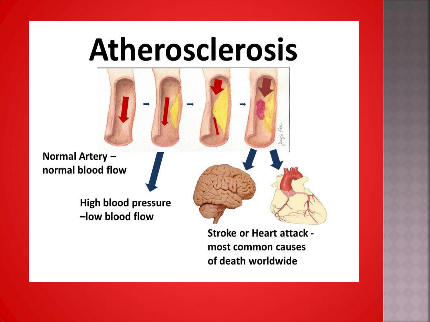# **Atherosclerosis**

Normal Artery normal blood flow

> **High blood pressure** -low blood flow

> > **Stroke or Heart attack** most common causes of death worldwide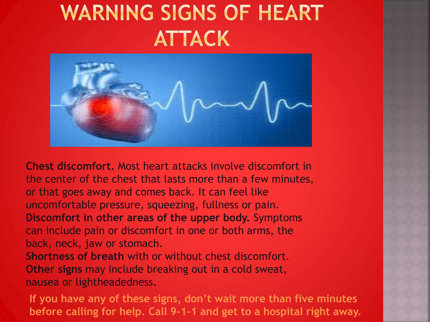#### **WARNING SIGNS OF HEART ATTACK**



**Chest discomfort.** Most heart attacks involve discomfort in the center of the chest that lasts more than a few minutes, or that goes away and comes back. It can feel like uncomfortable pressure, squeezing, fullness or pain. **Discomfort in other areas of the upper body.** Symptoms can include pain or discomfort in one or both arms, the back, neck, jaw or stomach. **Shortness of breath** with or without chest discomfort.

**Other signs** may include breaking out in a cold sweat, nausea or lightheadedness.

**If you have any of these signs, don't wait more than five minutes before calling for help. Call 9-1-1 and get to a hospital right away.**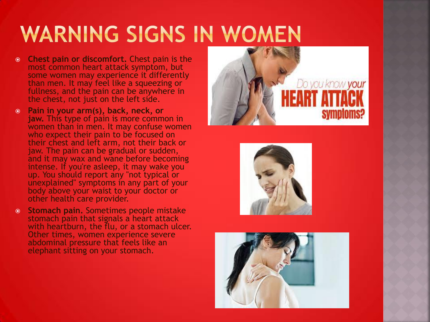## **WARNING SIGNS IN WOMEN**

- **Chest pain or discomfort.** Chest pain is the most common heart attack symptom, but some women may experience it differently than men. It may feel like a squeezing or fullness, and the pain can be anywhere in the chest, not just on the left side.
- **Pain in your arm(s), back, neck, or jaw.** This type of pain is more common in women than in men. It may confuse women who expect their pain to be focused on their chest and left arm, not their back or jaw. The pain can be gradual or sudden, and it may wax and wane before becoming intense. If you're asleep, it may wake you up. You should report any "not typical or unexplained" symptoms in any part of your body above your waist to your doctor or other health care provider.
- **Stomach pain.** Sometimes people mistake stomach pain that signals a heart attack with heartburn, the flu, or a stomach ulcer. Other times, women experience severe abdominal pressure that feels like an elephant sitting on your stomach.





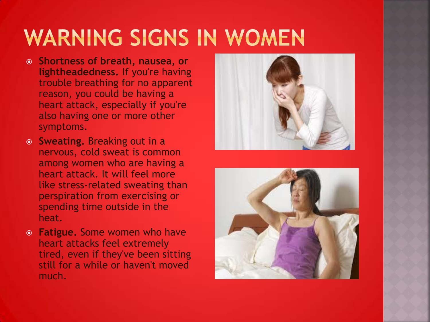### **WARNING SIGNS IN WOMEN**

- **Shortness of breath, nausea, or lightheadedness.** If you're having trouble breathing for no apparent reason, you could be having a heart attack, especially if you're also having one or more other symptoms.
- **Sweating.** Breaking out in a nervous, cold sweat is common among women who are having a heart attack. It will feel more like stress-related sweating than perspiration from exercising or spending time outside in the heat.
- **Fatigue.** Some women who have heart attacks feel extremely tired, even if they've been sitting still for a while or haven't moved much.



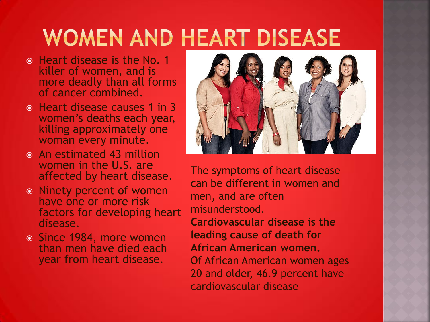#### **WOMEN AND HEART DISEASE**

- **Heart disease is the No. 1** killer of women, and is more deadly than all forms of cancer combined.
- Heart disease causes 1 in 3 women's deaths each year, killing approximately one woman every minute.
- An estimated 43 million women in the U.S. are affected by heart disease.
- Ninety percent of women have one or more risk factors for developing heart disease.
- Since 1984, more women than men have died each year from heart disease.



The symptoms of heart disease can be different in women and men, and are often misunderstood.

**Cardiovascular disease is the leading cause of death for African American women.** Of African American women ages 20 and older, 46.9 percent have cardiovascular disease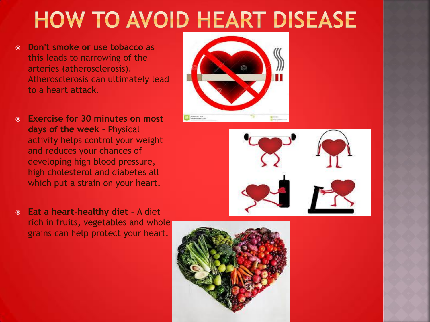## **HOW TO AVOID HEART DISEASE**

- **Don't smoke or use tobacco as this** leads to narrowing of the arteries (atherosclerosis). Atherosclerosis can ultimately lead to a heart attack.
- **Exercise for 30 minutes on most days of the week -** Physical activity helps control your weight and reduces your chances of developing high blood pressure, high cholesterol and diabetes all which put a strain on your heart.
- **Eat a heart-healthy diet -** A diet rich in fruits, vegetables and whole grains can help protect your heart.